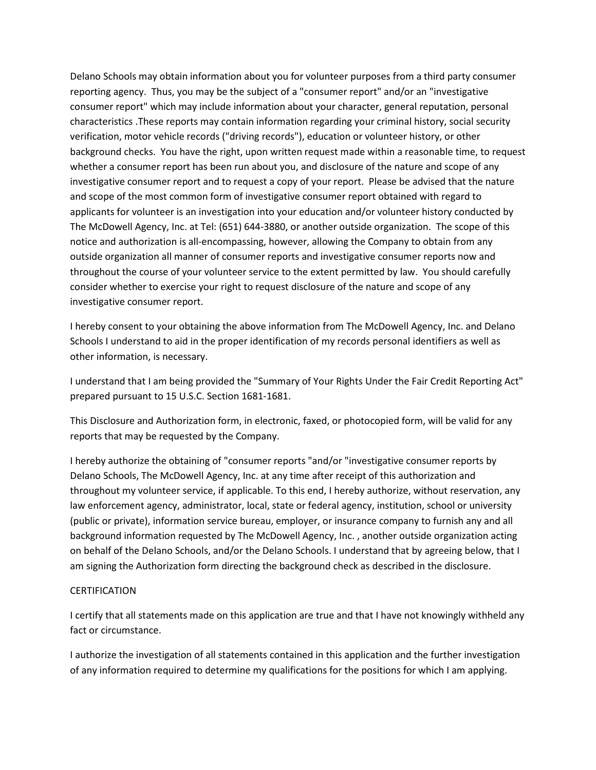Delano Schools may obtain information about you for volunteer purposes from a third party consumer reporting agency. Thus, you may be the subject of a "consumer report" and/or an "investigative consumer report" which may include information about your character, general reputation, personal characteristics .These reports may contain information regarding your criminal history, social security verification, motor vehicle records ("driving records"), education or volunteer history, or other background checks. You have the right, upon written request made within a reasonable time, to request whether a consumer report has been run about you, and disclosure of the nature and scope of any investigative consumer report and to request a copy of your report. Please be advised that the nature and scope of the most common form of investigative consumer report obtained with regard to applicants for volunteer is an investigation into your education and/or volunteer history conducted by The McDowell Agency, Inc. at Tel: (651) 644-3880, or another outside organization. The scope of this notice and authorization is all-encompassing, however, allowing the Company to obtain from any outside organization all manner of consumer reports and investigative consumer reports now and throughout the course of your volunteer service to the extent permitted by law. You should carefully consider whether to exercise your right to request disclosure of the nature and scope of any investigative consumer report.

I hereby consent to your obtaining the above information from The McDowell Agency, Inc. and Delano Schools I understand to aid in the proper identification of my records personal identifiers as well as other information, is necessary.

I understand that I am being provided the "Summary of Your Rights Under the Fair Credit Reporting Act" prepared pursuant to 15 U.S.C. Section 1681-1681.

This Disclosure and Authorization form, in electronic, faxed, or photocopied form, will be valid for any reports that may be requested by the Company.

I hereby authorize the obtaining of "consumer reports "and/or "investigative consumer reports by Delano Schools, The McDowell Agency, Inc. at any time after receipt of this authorization and throughout my volunteer service, if applicable. To this end, I hereby authorize, without reservation, any law enforcement agency, administrator, local, state or federal agency, institution, school or university (public or private), information service bureau, employer, or insurance company to furnish any and all background information requested by The McDowell Agency, Inc. , another outside organization acting on behalf of the Delano Schools, and/or the Delano Schools. I understand that by agreeing below, that I am signing the Authorization form directing the background check as described in the disclosure.

## **CERTIFICATION**

I certify that all statements made on this application are true and that I have not knowingly withheld any fact or circumstance.

I authorize the investigation of all statements contained in this application and the further investigation of any information required to determine my qualifications for the positions for which I am applying.